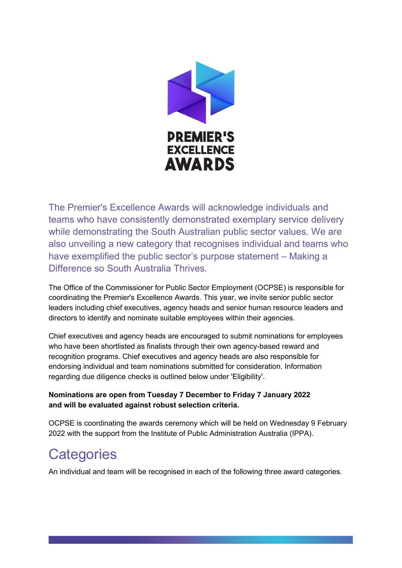

The Premier's Excellence Awards will acknowledge individuals and teams who have consistently demonstrated exemplary service delivery while demonstrating the South Australian public sector values. We are also unveiling a new category that recognises individual and teams who have exemplified the public sector's purpose statement – Making a Difference so South Australia Thrives.

The Office of the Commissioner for Public Sector Employment (OCPSE) is responsible for coordinating the Premier's Excellence Awards. This year, we invite senior public sector leaders including chief executives, agency heads and senior human resource leaders and directors to identify and nominate suitable employees within their agencies.

Chief executives and agency heads are encouraged to submit nominations for employees who have been shortlisted as finalists through their own agency-based reward and recognition programs. Chief executives and agency heads are also responsible for endorsing individual and team nominations submitted for consideration. Information regarding due diligence checks is outlined below under 'Eligibility'.

### **Nominations are open from Tuesday 7 December to Friday 7 January 2022 and will be evaluated against robust selection criteria.**

OCPSE is coordinating the awards ceremony which will be held on Wednesday 9 February 2022 with the support from the Institute of Public Administration Australia (IPPA).

## **Categories**

An individual and team will be recognised in each of the following three award categories.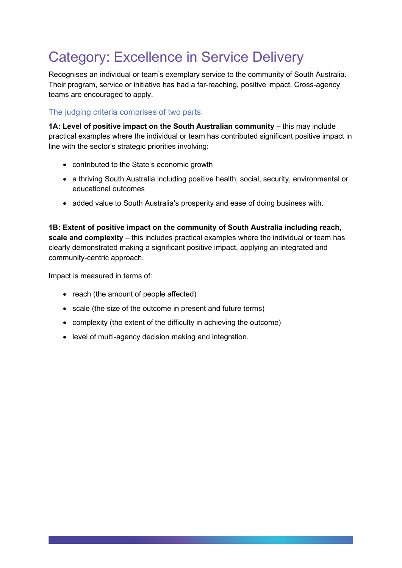# Category: Excellence in Service Delivery

Recognises an individual or team's exemplary service to the community of South Australia. Their program, service or initiative has had a far-reaching, positive impact. Cross-agency teams are encouraged to apply.

The judging criteria comprises of two parts.

**1A: Level of positive impact on the South Australian community - this may include** practical examples where the individual or team has contributed significant positive impact in line with the sector's strategic priorities involving:

- contributed to the State's economic growth
- a thriving South Australia including positive health, social, security, environmental or educational outcomes
- added value to South Australia's prosperity and ease of doing business with.

**1B: Extent of positive impact on the community of South Australia including reach, scale and complexity** – this includes practical examples where the individual or team has clearly demonstrated making a significant positive impact, applying an integrated and community-centric approach.

Impact is measured in terms of:

- reach (the amount of people affected)
- scale (the size of the outcome in present and future terms)
- complexity (the extent of the difficulty in achieving the outcome)
- level of multi-agency decision making and integration.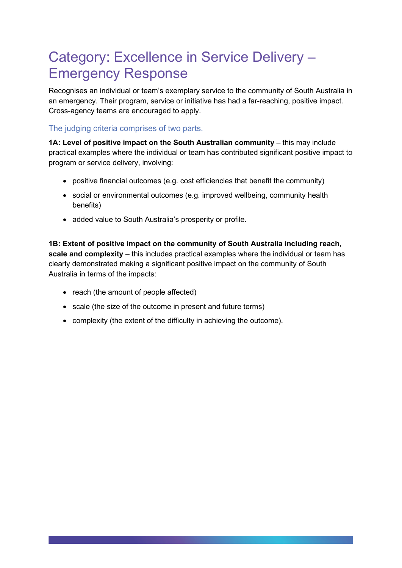### Category: Excellence in Service Delivery – Emergency Response

Recognises an individual or team's exemplary service to the community of South Australia in an emergency. Their program, service or initiative has had a far-reaching, positive impact. Cross-agency teams are encouraged to apply.

### The judging criteria comprises of two parts.

**1A: Level of positive impact on the South Australian community - this may include** practical examples where the individual or team has contributed significant positive impact to program or service delivery, involving:

- positive financial outcomes (e.g. cost efficiencies that benefit the community)
- social or environmental outcomes (e.g. improved wellbeing, community health benefits)
- added value to South Australia's prosperity or profile.

**1B: Extent of positive impact on the community of South Australia including reach, scale and complexity** – this includes practical examples where the individual or team has clearly demonstrated making a significant positive impact on the community of South Australia in terms of the impacts:

- reach (the amount of people affected)
- scale (the size of the outcome in present and future terms)
- complexity (the extent of the difficulty in achieving the outcome).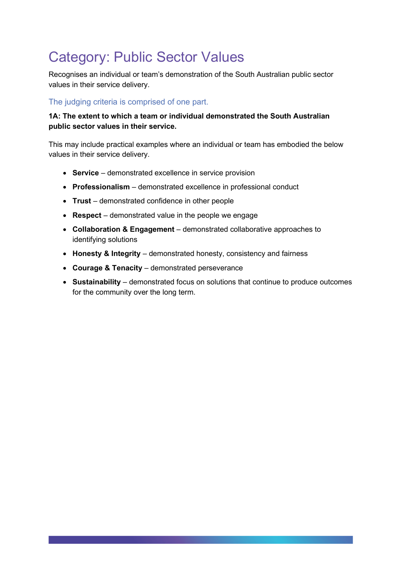# Category: Public Sector Values

Recognises an individual or team's demonstration of the South Australian public sector values in their service delivery.

### The judging criteria is comprised of one part.

#### **1A: The extent to which a team or individual demonstrated the South Australian public sector values in their service.**

This may include practical examples where an individual or team has embodied the below values in their service delivery.

- **Service**  demonstrated excellence in service provision
- **Professionalism**  demonstrated excellence in professional conduct
- **Trust**  demonstrated confidence in other people
- **Respect**  demonstrated value in the people we engage
- **Collaboration & Engagement**  demonstrated collaborative approaches to identifying solutions
- **Honesty & Integrity**  demonstrated honesty, consistency and fairness
- **Courage & Tenacity**  demonstrated perseverance
- **Sustainability**  demonstrated focus on solutions that continue to produce outcomes for the community over the long term.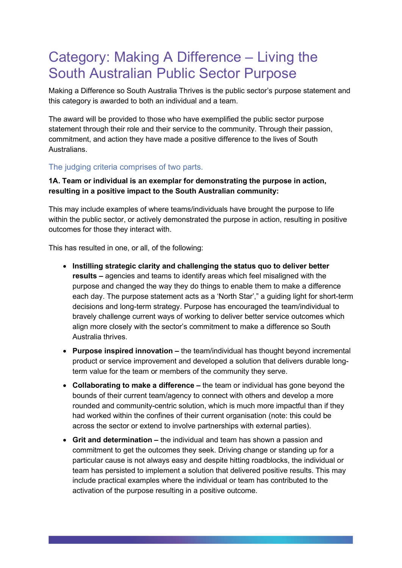### Category: Making A Difference – Living the South Australian Public Sector Purpose

Making a Difference so South Australia Thrives is the public sector's purpose statement and this category is awarded to both an individual and a team.

The award will be provided to those who have exemplified the public sector purpose statement through their role and their service to the community. Through their passion, commitment, and action they have made a positive difference to the lives of South Australians.

#### The judging criteria comprises of two parts.

#### **1A. Team or individual is an exemplar for demonstrating the purpose in action, resulting in a positive impact to the South Australian community:**

This may include examples of where teams/individuals have brought the purpose to life within the public sector, or actively demonstrated the purpose in action, resulting in positive outcomes for those they interact with.

This has resulted in one, or all, of the following:

- **Instilling strategic clarity and challenging the status quo to deliver better results –** agencies and teams to identify areas which feel misaligned with the purpose and changed the way they do things to enable them to make a difference each day. The purpose statement acts as a 'North Star'," a guiding light for short-term decisions and long-term strategy. Purpose has encouraged the team/individual to bravely challenge current ways of working to deliver better service outcomes which align more closely with the sector's commitment to make a difference so South Australia thrives.
- **Purpose inspired innovation –** the team/individual has thought beyond incremental product or service improvement and developed a solution that delivers durable longterm value for the team or members of the community they serve.
- **Collaborating to make a difference –** the team or individual has gone beyond the bounds of their current team/agency to connect with others and develop a more rounded and community-centric solution, which is much more impactful than if they had worked within the confines of their current organisation (note: this could be across the sector or extend to involve partnerships with external parties).
- **Grit and determination –** the individual and team has shown a passion and commitment to get the outcomes they seek. Driving change or standing up for a particular cause is not always easy and despite hitting roadblocks, the individual or team has persisted to implement a solution that delivered positive results. This may include practical examples where the individual or team has contributed to the activation of the purpose resulting in a positive outcome.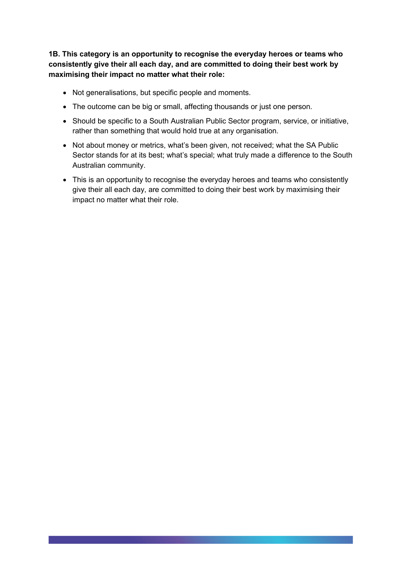**1B. This category is an opportunity to recognise the everyday heroes or teams who consistently give their all each day, and are committed to doing their best work by maximising their impact no matter what their role:**

- Not generalisations, but specific people and moments.
- The outcome can be big or small, affecting thousands or just one person.
- Should be specific to a South Australian Public Sector program, service, or initiative, rather than something that would hold true at any organisation.
- Not about money or metrics, what's been given, not received; what the SA Public Sector stands for at its best; what's special; what truly made a difference to the South Australian community.
- This is an opportunity to recognise the everyday heroes and teams who consistently give their all each day, are committed to doing their best work by maximising their impact no matter what their role.